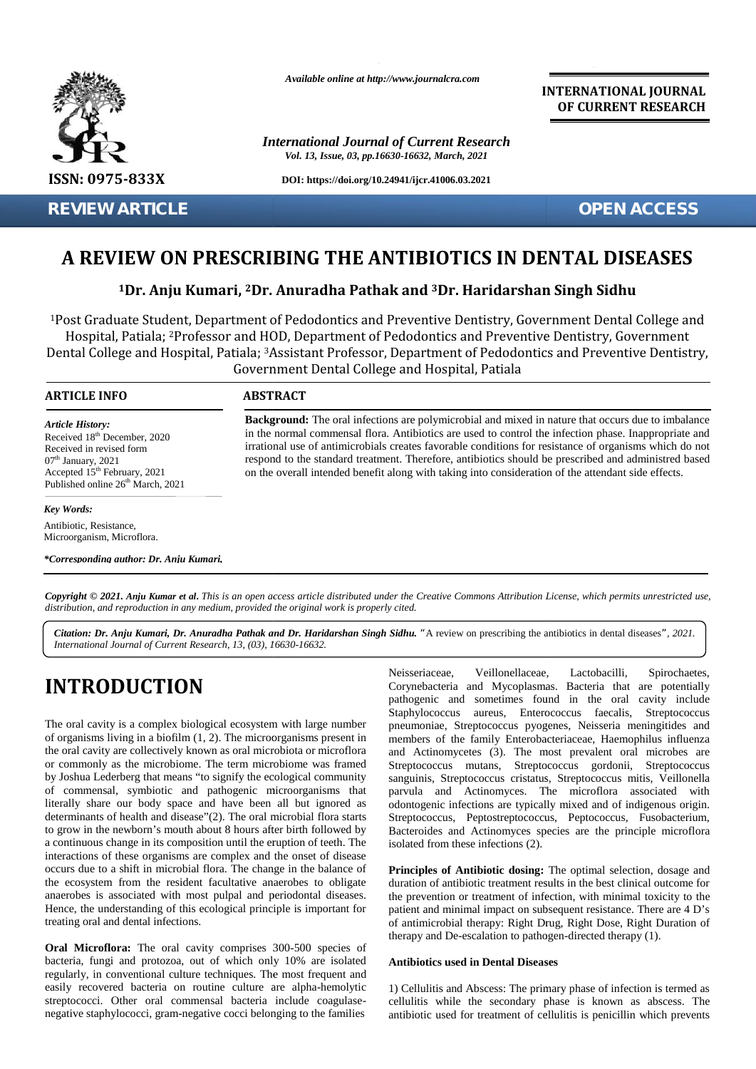

**REVIEW ARTICLE OPEN ACCESS**

*Available online at http://www.journalcra.com*

*International Journal of Current Research Vol. 13, Issue, 03, pp.16630-16632, March, 2021*

**DOI: https://doi.org/10.24941/ijcr.41006.03.2021**

**INTERNATIONAL JOURNAL OF CURRENT RESEARCH**

# **A REVIEW ON PRESCRIBING THE ANTIBIOTICS IN DENTAL DISEASES**

# $^{\text{1}}$ Dr. Anju Kumari, <sup>2</sup>Dr. Anuradha Pathak and <sup>3</sup>Dr. Haridarshan Singh Sidhu

<sup>1</sup>Post Graduate Student, Department of Pedodontics and Preventive Dentistry, Government Dental College and Hospital, Patiala; <sup>2</sup>Professor and HOD, Department of Pedodontics and Preventive Dentistry, Government Dental College and Hospital, Patiala; <sup>3</sup>Assistant Professor, Department of Pedodontics and Preventive Dentistry, Government Dental College and Hospital, Patiala College and Hospital, <sup>1</sup>Post Graduate Student, Department of Pedodontics and Preventive Dentistry, Government Dental College and<br>Hospital, Patiala; <sup>2</sup>Professor and HOD, Department of Pedodontics and Preventive Dentistry, Government<br>Dental Col **EVIEW ON PRESCRIBING THE ANTIBIO'**<br> **1Dr. Anju Kumari, <sup>2</sup>Dr. Anuradha Pathak and <sup>3</sup>Dr<br>
raduate Student, Department of Pedodontics and Preventive<br>
ital, Patiala; <sup>2</sup>Professor and HOD, Department of Pedodontics<br>
ollege an** 

# **ARTICLE INFO ABSTRACT ARTICLE ABSTRACT**

*Article History: Article History:* Received  $18<sup>th</sup>$  December, 2020 Received 18<sup>--</sup> December, 2020<br>Received in revised form<br>07<sup>th</sup> January, 2021<br>Accepted 15<sup>th</sup> February, 2021  $07<sup>th</sup>$  January, 2021 Accepted  $15<sup>th</sup>$  February, 2021  $\qquad \qquad$  0 Published online  $26<sup>th</sup>$  March, 2021 **A REVIEW ON P!**<br> **A REVIEW ON P!**<br>
<sup>1</sup>Dr. Anju Ku!<br>
<sup>1</sup>Post Graduate Student, De<br>
Hospital, Patiala; <sup>2</sup>Profe!<br>
Dental College and Hospita<br> **ARTICLE INFO**<br> *Article History:*<br>
Received 18<sup>th</sup> December, 2020<br>
Received in r

# *Key Words: Key Words:*

Antibiotic, Resistance, Microorganism, Microflora.

*\*Corresponding author: Dr. Anju Kumari,*

**Background:** The oral infections are polymicrobial and mixed in nature that occurs due to imbalance in the normal commensal flora. Antibiotics are used to control the infection phase. Inappropriate and irrational use of antimicrobials creates favorable conditions for resistance of organisms which do not respond to the standard treatment. Therefore, antibiotics should be prescribed and administred based on the overall intended benefit along with taking into consideration of the attendant side effects. flora. Antibiotics are used to control the infection phase. Inappropriate and<br>I use of antimicrobials creates favorable conditions for resistance of organisms which do not<br>to the standard treatment. Therefore, antibiotics

**Copyright © 2021. Anju Kumar et al.** This is an open access article distributed under the Creative Commons Attribution License, which permits unrestricted use,<br>distribution, and reproduction in any medium, provided the or *distribution, and reproduction in any medium, provided the original work is properly cited.* in the normal conm<br>
in the normal conm<br>
irrational use of a<br>
respond to the sta<br>
on the overall inte<br>
March, 2021<br> **(13)**<br> **(23)**<br> **(14)**<br> **(14)**<br> **(15)**<br> **(25)**<br> **(25)**<br> **(26)**<br> **(26)**<br> **(26)**<br> **(36)**<br> **(36)**<br> **(36)**<br> **(3** 

*Citation: Dr. Anju Kumari, Dr. Anuradha Pathak and Dr. Haridarshan Singh Sidhu. "*A review on prescribing the antibiotics in dental diseases*", 2021. Dr. Kumari, Singh Sidhu.International Journal of Current Research, 13, (03), 16630-16632.*

# **INTRODUCTION INTRODUCTION**

The oral cavity is a complex biological ecosystem with large number The oral cavity is a complex biological ecosystem with large number pnet present in the origanisms living in a biofilm (1, 2). The microorganisms present in men the oral cavity are collectively known as oral microbiota or microflora the oral cavity are collectively known as oral microbiota or microflora and<br>or commonly as the microbiome. The term microbiome was framed Stre by Joshua Lederberg that means "to signify the ecological community sang of commensal, symbiotic and pathogenic microorganisms that of commensal, symbiotic and pathogenic microorganisms that patherally share our body space and have been all but ignored as oc determinants of health and disease"(2). The oral microbial flora starts St to grow in the newborn's mouth about 8 hours after birth followed by Bact a continuous change in its composition until the eruption of teeth. The interactions of these organisms are complex and the onset of disease occurs due to a shift in microbial flora. The change in the balance of the ecosystem from the resident facultative anaerobes to obligate anaerobes is associated with most pulpal and periodontal diseases. Hence, the understanding of this ecological principle is important for treating oral and dental infections. a continuous change in its composition until the eruption of teeth. The interactions of these organisms are complex and the onset of disease occurs due to a shift in microbial flora. The change in the balance of the ecosys **INTRODUCTION** Correlate and Mycoplasms. Bacteria (and Mycoplasms. Bacteria (and the are potentially include the cocal state and Mycoplasms like that are potentially include the scales. Streptococcus free actions in the f

**Oral Microflora:** The oral cavity comprises 300-500 species of bacteria, fungi and protozoa, out of which only 10% are isolated regularly, in conventional culture techniques. The most frequent and easily recovered bacteria on routine culture are alpha-hemolytic streptococci. Other oral commensal bacteria include coagulase negative staphylococci, gram-negative cocci belonging to the families **Oral Microflora:** The oral cavity comprises 300-500 species of bacteria, fungi and protozoa, out of which only 10% are isolated regularly, in conventional culture techniques. The most frequent and easily recovered bacteri

Neisseriaceae, Veillonellaceae, Lactobacilli, Spirochaetes, Corynebacteria and Mycoplasmas. Bacteria that are potentially pathogenic and sometimes found in the oral cavity include Staphylococcus aureus, Enterococcus faecalis, Streptococcus pneumoniae, Streptococcus pyogenes, Neisseria meningitides and members of the family Enterobacteriaceae, Haemophilus influenza and Actinomycetes (3). The most prevalent oral microbes are Streptococcus mutans, Streptococcus gordonii, Streptococcus sanguinis, Streptococcus cristatus, Streptococcus mitis, Veillonella parvula and Actinomyces. The microflora associated with odontogenic infections are typically mixed and of indigenous origin. parvula and Actinomyces. The microflora associated with odontogenic infections are typically mixed and of indigenous origin.<br>Streptococcus, Peptostreptococcus, Peptococcus, Fusobacterium, Bacteroides and Actinomyces species are the principle microflora isolated from these infections (2). and 2000 in the commutations are non-thermatic serves when the controllent in fact intermediation properties and the controllent and the matterial properties and the state of equations which are not the state of equations For Figure 1, 13, 103), 16630-16632.<br>
Anal of Current Research, 13, 103), 16630-16632.<br> **EXECUTEDNEE ANALL SUBDE ANALL SUBDE ANALL SUBDE ANALL SUBDE ANALL SPECIES**<br> **EXECUTEDNEE ANALL SUBDE ANALL SUBDE ANALL SUBDE ANALL SP** 

Principles of Antibiotic dosing: The optimal selection, dosage and duration of antibiotic treatment results in the best clinical outcome for duration of antibiotic treatment results in the best clinical outcome for the prevention or treatment of infection, with minimal toxicity to the patient and minimal impact on subsequent resistance. There are 4 D's of antimicrobial therapy: Right Drug, Right Dose, Right Duration of of antimicrobial therapy: Right Drug, Right Dose, Right Duration therapy and De-escalation to pathogen-directed therapy (1).

#### **Antibiotics used in Dental Diseases Diseases**

1) Cellulitis and Abscess: The primary phase of infection is termed as cellulitis while the secondary phase is known as abscess. The antibiotic used for treatment of cellulitis is penicillin which prevents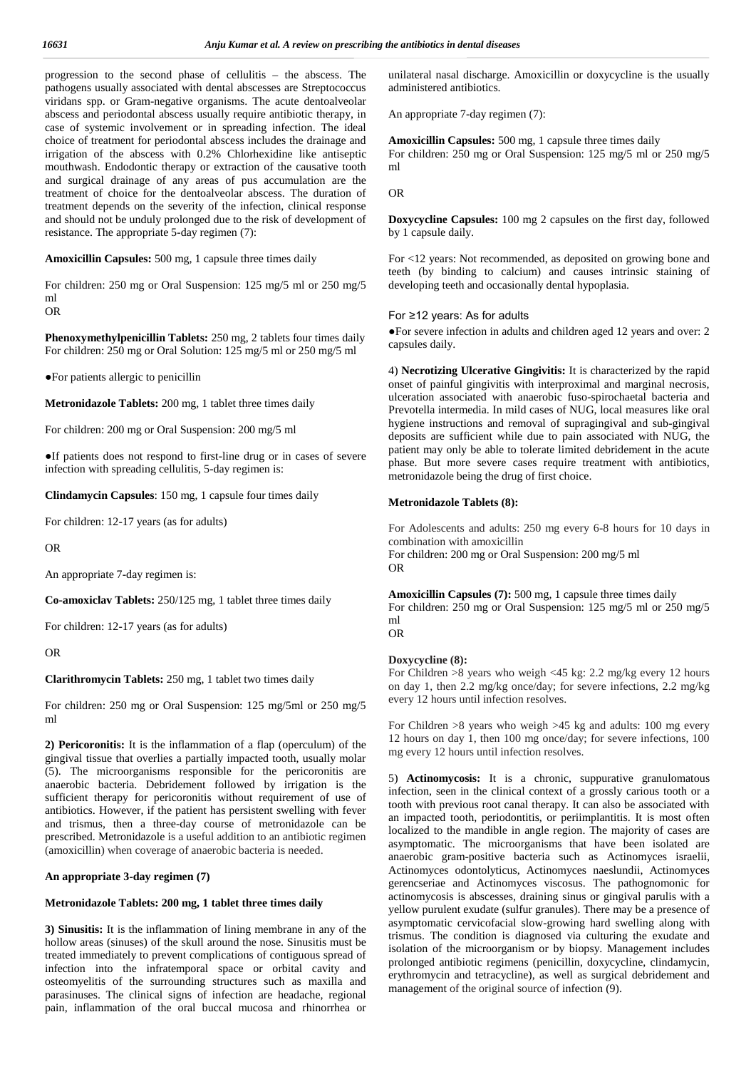progression to the second phase of cellulitis – the abscess. The pathogens usually associated with dental abscesses are Streptococcus viridans spp. or Gram-negative organisms. The acute dentoalveolar abscess and periodontal abscess usually require antibiotic therapy, in case of systemic involvement or in spreading infection. The ideal choice of treatment for periodontal abscess includes the drainage and irrigation of the abscess with 0.2% Chlorhexidine like antiseptic mouthwash. Endodontic therapy or extraction of the causative tooth and surgical drainage of any areas of pus accumulation are the treatment of choice for the dentoalveolar abscess. The duration of treatment depends on the severity of the infection, clinical response and should not be unduly prolonged due to the risk of development of resistance. The appropriate 5-day regimen (7):

**Amoxicillin Capsules:** 500 mg, 1 capsule three times daily

For children: 250 mg or Oral Suspension: 125 mg/5 ml or 250 mg/5 ml

OR

**Phenoxymethylpenicillin Tablets:** 250 mg, 2 tablets four times daily For children: 250 mg or Oral Solution: 125 mg/5 ml or 250 mg/5 ml

For patients allergic to penicillin

**Metronidazole Tablets:** 200 mg, 1 tablet three times daily

For children: 200 mg or Oral Suspension: 200 mg/5 ml

If patients does not respond to first-line drug or in cases of severe infection with spreading cellulitis, 5-day regimen is:

**Clindamycin Capsules**: 150 mg, 1 capsule four times daily

For children: 12-17 years (as for adults)

OR

An appropriate 7-day regimen is:

**Co-amoxiclav Tablets:** 250/125 mg, 1 tablet three times daily

For children: 12-17 years (as for adults)

OR

#### **Clarithromycin Tablets:** 250 mg, 1 tablet two times daily

For children: 250 mg or Oral Suspension: 125 mg/5ml or 250 mg/5 ml

**2) Pericoronitis:** It is the inflammation of a flap (operculum) of the gingival tissue that overlies a partially impacted tooth, usually molar (5). The microorganisms responsible for the pericoronitis are anaerobic bacteria. Debridement followed by irrigation is the sufficient therapy for pericoronitis without requirement of use of antibiotics. However, if the patient has persistent swelling with fever and trismus, then a three-day course of metronidazole can be prescribed. Metronidazole is a useful addition to an antibiotic regimen (amoxicillin) when coverage of anaerobic bacteria is needed.

### **An appropriate 3-day regimen (7)**

#### **Metronidazole Tablets: 200 mg, 1 tablet three times daily**

**3) Sinusitis:** It is the inflammation of lining membrane in any of the hollow areas (sinuses) of the skull around the nose. Sinusitis must be treated immediately to prevent complications of contiguous spread of infection into the infratemporal space or orbital cavity and osteomyelitis of the surrounding structures such as maxilla and parasinuses. The clinical signs of infection are headache, regional pain, inflammation of the oral buccal mucosa and rhinorrhea or

unilateral nasal discharge. Amoxicillin or doxycycline is the usually administered antibiotics.

An appropriate 7-day regimen (7):

**Amoxicillin Capsules:** 500 mg, 1 capsule three times daily For children: 250 mg or Oral Suspension: 125 mg/5 ml or 250 mg/5 ml

OR

**Doxycycline Capsules:** 100 mg 2 capsules on the first day, followed by 1 capsule daily.

For <12 years: Not recommended, as deposited on growing bone and teeth (by binding to calcium) and causes intrinsic staining of developing teeth and occasionally dental hypoplasia.

# For ≥12 years: As for adults

For severe infection in adults and children aged 12 years and over: 2 capsules daily.

4) **Necrotizing Ulcerative Gingivitis:** It is characterized by the rapid onset of painful gingivitis with interproximal and marginal necrosis, ulceration associated with anaerobic fuso-spirochaetal bacteria and Prevotella intermedia. In mild cases of NUG, local measures like oral hygiene instructions and removal of supragingival and sub-gingival deposits are sufficient while due to pain associated with NUG, the patient may only be able to tolerate limited debridement in the acute phase. But more severe cases require treatment with antibiotics, metronidazole being the drug of first choice.

#### **Metronidazole Tablets (8):**

For Adolescents and adults: 250 mg every 6-8 hours for 10 days in combination with amoxicillin For children: 200 mg or Oral Suspension: 200 mg/5 ml OR

**Amoxicillin Capsules (7):** 500 mg, 1 capsule three times daily For children: 250 mg or Oral Suspension: 125 mg/5 ml or 250 mg/5 ml OR

#### **Doxycycline (8):**

For Children >8 years who weigh <45 kg: 2.2 mg/kg every 12 hours on day 1, then 2.2 mg/kg once/day; for severe infections, 2.2 mg/kg every 12 hours until infection resolves.

For Children >8 years who weigh >45 kg and adults: 100 mg every 12 hours on day 1, then 100 mg once/day; for severe infections, 100 mg every 12 hours until infection resolves.

5) **Actinomycosis:** It is a chronic, suppurative granulomatous infection, seen in the clinical context of a grossly carious tooth or a tooth with previous root canal therapy. It can also be associated with an impacted tooth, periodontitis, or periimplantitis. It is most often localized to the mandible in angle region. The majority of cases are asymptomatic. The microorganisms that have been isolated are anaerobic gram-positive bacteria such as Actinomyces israelii, Actinomyces odontolyticus, Actinomyces naeslundii, Actinomyces gerencseriae and Actinomyces viscosus. The pathognomonic for actinomycosis is abscesses, draining sinus or gingival parulis with a yellow purulent exudate (sulfur granules). There may be a presence of asymptomatic cervicofacial slow-growing hard swelling along with trismus. The condition is diagnosed via culturing the exudate and isolation of the microorganism or by biopsy. Management includes prolonged antibiotic regimens (penicillin, doxycycline, clindamycin, erythromycin and tetracycline), as well as surgical debridement and management of the original source of infection (9).